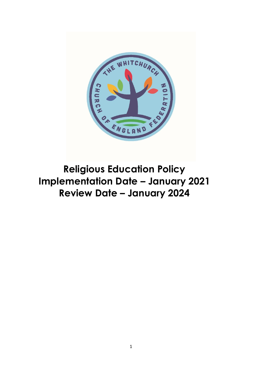

**Religious Education Policy Implementation Date – January 2021 Review Date – January 2024**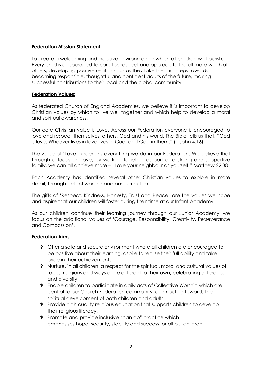## **Federation Mission Statement:**

To create a welcoming and inclusive environment in which all children will flourish. Every child is encouraged to care for, respect and appreciate the ultimate worth of others, developing positive relationships as they take their first steps towards becoming responsible, thoughtful and confident adults of the future, making successful contributions to their local and the global community.

## **Federation Values:**

As federated Church of England Academies, we believe it is important to develop Christian values by which to live well together and which help to develop a moral and spiritual awareness.

Our core Christian value is Love. Across our Federation everyone is encouraged to love and respect themselves, others, God and his world. The Bible tells us that, "God is love. Whoever lives in love lives in God, and God in them." (1 John 4:16).

The value of 'Love' underpins everything we do in our Federation. We believe that through a focus on Love, by working together as part of a strong and supportive family, we can all achieve more – "Love your neighbour as yourself." Matthew 22:38

Each Academy has identified several other Christian values to explore in more detail, through acts of worship and our curriculum.

The gifts of 'Respect, Kindness, Honesty, Trust and Peace' are the values we hope and aspire that our children will foster during their time at our Infant Academy.

As our children continue their learning journey through our Junior Academy, we focus on the additional values of 'Courage, Responsibility, Creativity, Perseverance and Compassion'.

## **Federation Aims:**

- Offer a safe and secure environment where all children are encouraged to be positive about their learning, aspire to realise their full ability and take pride in their achievements.
- Nurture, in all children, a respect for the spiritual, moral and cultural values of races, religions and ways of life different to their own, celebrating difference and diversity.
- Enable children to participate in daily acts of Collective Worship which are central to our Church Federation community, contributing towards the spiritual development of both children and adults.
- Provide high quality religious education that supports children to develop their religious literacy.
- Promote and provide inclusive "can do" practice which emphasises hope, security, stability and success for all our children.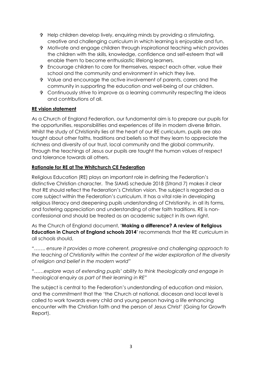- Help children develop lively, enquiring minds by providing a stimulating, creative and challenging curriculum in which learning is enjoyable and fun.
- Motivate and engage children through inspirational teaching which provides the children with the skills, knowledge, confidence and self-esteem that will enable them to become enthusiastic lifelong learners.
- Encourage children to care for themselves, respect each other, value their school and the community and environment in which they live.
- Value and encourage the active involvement of parents, carers and the community in supporting the education and well-being of our children.
- Continuously strive to improve as a learning community respecting the ideas and contributions of all.

## **RE vision statement**

As a Church of England Federation, our fundamental aim is to prepare our pupils for the opportunities, responsibilities and experiences of life in modern diverse Britain. Whilst the study of Christianity lies at the heart of our RE curriculum, pupils are also taught about other faiths, traditions and beliefs so that they learn to appreciate the richness and diversity of our trust, local community and the global community. Through the teachings of Jesus our pupils are taught the human values of respect and tolerance towards all others.

## **Rationale for RE at The Whitchurch CE Federation**

Religious Education (RE) plays an important role in defining the Federation's distinctive Christian character. The SIAMS schedule 2018 (Strand 7) makes it clear that RE should reflect the Federation's Christian vision. The subject is regarded as a core subject within the Federation's curriculum. It has a vital role in developing religious literacy and deepening pupils understanding of Christianity, in all its forms, and fostering appreciation and understanding of other faith traditions. RE is nonconfessional and should be treated as an academic subject in its own right.

As the Church of England document, **'Making a difference? A review of Religious Education in Church of England schools 2014**' recommends that the RE curriculum in all schools should,

*"……. ensure it provides a more coherent, progressive and challenging approach to the teaching of Christianity within the context of the wider exploration of the diversity of religion and belief in the modern world"*

*"……explore ways of extending pupils' ability to think theologically and engage in theological enquiry as part of their learning in RE"*

The subject is central to the Federation's understanding of education and mission, and the commitment that the 'the Church at national, diocesan and local level is called to work towards every child and young person having a life enhancing encounter with the Christian faith and the person of Jesus Christ' (Going for Growth Report).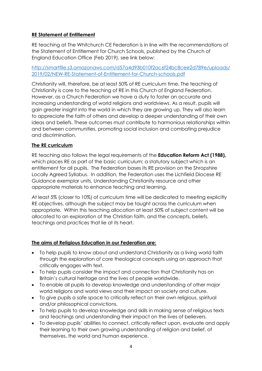# **RE Statement of Entitlement**

RE teaching at The Whitchurch CE Federation is in line with the recommendations of the Statement of Entitlement for Church Schools, published by the Church of England Education Office (Feb 2019), see link below:

## [http://smartfile.s3.amazonaws.com/d57a4d93b010f2ac6f24bc8cee2d789e/uploads/](http://smartfile.s3.amazonaws.com/d57a4d93b010f2ac6f24bc8cee2d789e/uploads/2019/02/NEW-RE-Statement-of-Entitlement-for-Church-schools.pdf) [2019/02/NEW-RE-Statement-of-Entitlement-for-Church-schools.pdf](http://smartfile.s3.amazonaws.com/d57a4d93b010f2ac6f24bc8cee2d789e/uploads/2019/02/NEW-RE-Statement-of-Entitlement-for-Church-schools.pdf)

Christianity will, therefore, be at least 50% of RE curriculum time. The teaching of Christianity is core to the teaching of RE in this Church of England Federation. However, as a Church Federation we have a duty to foster an accurate and increasing understanding of world religions and worldviews. As a result, pupils will gain greater insight into the world in which they are growing up. They will also learn to appreciate the faith of others and develop a deeper understanding of their own ideas and beliefs. These outcomes must contribute to harmonious relationships within and between communities, promoting social inclusion and combating prejudice and discrimination.

## **The RE curriculum**

RE teaching also follows the legal requirements of the **Education Reform Act (1988),** which places RE as part of the basic curriculum; a statutory subject which is an entitlement for all pupils. The Federation bases its RE provision on the Shropshire Locally Agreed Syllabus. In addition, the Federation uses the Lichfield Diocese RE Guidance exemplar units, Understanding Christianity resource and other appropriate materials to enhance teaching and learning.

At least 5% (closer to 10%) of curriculum time will be dedicated to meeting explicitly RE objectives, although the subject may be taught across the curriculum when appropriate. Within this teaching allocation at least 50% of subject content will be allocated to an exploration of the Christian faith, and the concepts, beliefs, teachings and practices that lie at its heart.

# **The aims of Religious Education in our Federation are:**

- To help pupils to know about and understand Christianity as a living world faith through the exploration of core theological concepts using an approach that critically engages with text.
- To help pupils consider the impact and connection that Christianity has on Britain's cultural heritage and the lives of people worldwide.
- To enable all pupils to develop knowledge and understanding of other major world religions and world views and their impact on society and culture.
- To give pupils a safe space to critically reflect on their own religious, spiritual and/or philosophical convictions.
- To help pupils to develop knowledge and skills in making sense of religious texts and teachings and understanding their impact on the lives of believers.
- To develop pupils' abilities to connect, critically reflect upon, evaluate and apply their learning to their own growing understanding of religion and belief, of themselves, the world and human experience.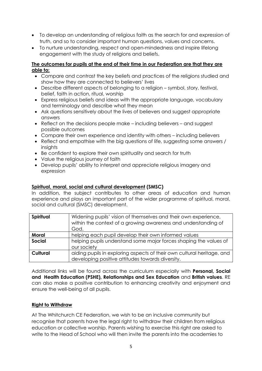- To develop an understanding of religious faith as the search for and expression of truth, and so to consider important human questions, values and concerns.
- To nurture understanding, respect and open-mindedness and inspire lifelong engagement with the study of religions and beliefs.

## **The outcomes for pupils at the end of their time in our Federation are that they are able to:**

- Compare and contrast the key beliefs and practices of the religions studied and show how they are connected to believers' lives
- Describe different aspects of belonging to a religion symbol, story, festival, belief, faith in action, ritual, worship
- Express religious beliefs and ideas with the appropriate language, vocabulary and terminology and describe what they mean
- Ask questions sensitively about the lives of believers and suggest appropriate answers
- $\bullet$  Reflect on the decisions people make including believers and suggest possible outcomes
- Compare their own experience and identity with others including believers
- Reflect and empathise with the big questions of life, suggesting some answers / insights
- Be confident to explore their own spirituality and search for truth
- Value the religious journey of faith
- Develop pupils' ability to interpret and appreciate religious imagery and expression

## **Spiritual, moral, social and cultural development (SMSC)**

In addition, the subject contributes to other areas of education and human experience and plays an important part of the wider programme of spiritual, moral, social and cultural (SMSC) development.

| Spiritual     | Widening pupils' vision of themselves and their own experience,<br>within the context of a growing awareness and understanding of<br>God. |  |
|---------------|-------------------------------------------------------------------------------------------------------------------------------------------|--|
| Moral         | helping each pupil develop their own informed values                                                                                      |  |
| <b>Social</b> | helping pupils understand some major forces shaping the values of                                                                         |  |
|               | our society                                                                                                                               |  |
| Cultural      | aiding pupils in exploring aspects of their own cultural heritage, and<br>developing positive attitudes towards diversity.                |  |

Additional links will be found across the curriculum especially with **Personal, Social and Health Education (PSHE), Relationships and Sex Education** and **British values**. RE can also make a positive contribution to enhancing creativity and enjoyment and ensure the well-being of all pupils.

## **Right to Withdraw**

At The Whitchurch CE Federation, we wish to be an inclusive community but recognise that parents have the legal right to withdraw their children from religious education or collective worship. Parents wishing to exercise this right are asked to write to the Head of School who will then invite the parents into the academies to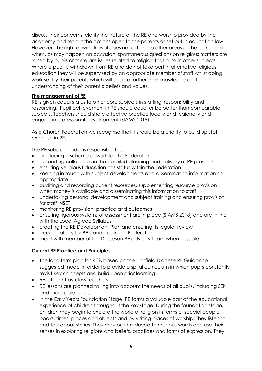discuss their concerns, clarify the nature of the RE and worship provided by the academy and set out the options open to the parents as set out in education law. However, the right of withdrawal does not extend to other areas of the curriculum when, as may happen on occasion, spontaneous questions on religious matters are raised by pupils or there are issues related to religion that arise in other subjects. Where a pupil is withdrawn from RE and do not take part in alternative religious education they will be supervised by an appropriate member of staff whilst doing work set by their parents which will seek to further their knowledge and understanding of their parent's beliefs and values.

## **The management of RE**

RE is given equal status to other core subjects in staffing, responsibility and resourcing. Pupil achievement in RE should equal or be better than comparable subjects. Teachers should share effective practice locally and regionally and engage in professional development (SIAMS 2018).

As a Church Federation we recognise that it should be a priority to build up staff expertise in RE.

The RE subject leader is responsible for:

- producing a scheme of work for the Federation
- supporting colleagues in the detailed planning and delivery of RE provision
- ensuring Religious Education has status within the Federation
- keeping in touch with subject developments and disseminating information as appropriate
- auditing and recording current resources, supplementing resource provision when money is available and disseminating this information to staff
- undertaking personal development and subject training and ensuring provision for staff INSET
- monitoring RE provision, practice and outcomes
- ensuring rigorous systems of assessment are in place (SIAMS 2018) and are in line with the Local Agreed Syllabus
- creating the RE Development Plan and ensuring its regular review
- accountability for RE standards in the Federation
- meet with member of the Diocesan RE advisory team when possible

## **Current RE Practice and Principles**

- The long term plan for RE is based on the Lichfield Diocese RE Guidance suggested model in order to provide a spiral curriculum in which pupils constantly revisit key concepts and build upon prior learning.
- RE is taught by class teachers.
- RE lessons are planned taking into account the needs of all pupils, including SEN and more able pupils.
- In the Early Years Foundation Stage, RE forms a valuable part of the educational experience of children throughout the key stage. During the foundation stage, children may begin to explore the world of religion in terms of special people, books, times, places and objects and by visiting places of worship. They listen to and talk about stories. They may be introduced to religious words and use their senses in exploring religions and beliefs, practices and forms of expression. They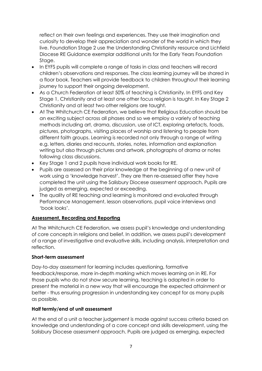reflect on their own feelings and experiences. They use their imagination and curiosity to develop their appreciation and wonder of the world in which they live. Foundation Stage 2 use the Understanding Christianity resource and Lichfield Diocese RE Guidance exemplar additional units for the Early Years Foundation Stage.

- In EYFS pupils will complete a range of tasks in class and teachers will record children's observations and responses. The class learning journey will be shared in a floor book. Teachers will provide feedback to children throughout their learning journey to support their ongoing development.
- As a Church Federation at least 50% of teaching is Christianity. In EYFS and Key Stage 1, Christianity and at least one other focus religion is taught. In Key Stage 2 Christianity and at least two other religions are taught.
- At The Whitchurch CE Federation, we believe that Religious Education should be an exciting subject across all phases and so we employ a variety of teaching methods including art, drama, discussion, use of ICT, exploring artefacts, foods, pictures, photographs, visiting places of worship and listening to people from different faith groups. Learning is recorded not only through a range of writing e.g. letters, diaries and recounts, stories, notes, information and explanation writing but also through pictures and artwork, photographs of drama or notes following class discussions.
- Key Stage 1 and 2 pupils have individual work books for RE.
- Pupils are assessed on their prior knowledge at the beginning of a new unit of work using a 'knowledge harvest'. They are then re-assessed after they have completed the unit using the Salisbury Diocese assessment approach. Pupils are judged as emerging, expected or exceeding.
- The quality of RE teaching and learning is monitored and evaluated through Performance Management, lesson observations, pupil voice interviews and 'book looks'.

# **Assessment, Recording and Reporting**

At The Whitchurch CE Federation, we assess pupil's knowledge and understanding of core concepts in religions and belief. In addition, we assess pupil's development of a range of investigative and evaluative skills, including analysis, interpretation and reflection.

## **Short-term assessment**

Day-to-day assessment for learning includes questioning, formative feedback/response, more in-depth marking which moves learning on in RE. For those pupils who do not show secure learning, teaching is adapted in order to present the material in a new way that will encourage the expected attainment or better - thus ensuring progression in understanding key concept for as many pupils as possible.

## **Half termly/end of unit assessment**

At the end of a unit a teacher judgement is made against success criteria based on knowledge and understanding of a core concept and skills development, using the Salisbury Diocese assessment approach. Pupils are judged as emerging, expected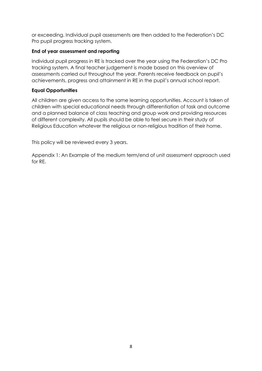or exceeding. Individual pupil assessments are then added to the Federation's DC Pro pupil progress tracking system.

## **End of year assessment and reporting**

Individual pupil progress in RE is tracked over the year using the Federation's DC Pro tracking system. A final teacher judgement is made based on this overview of assessments carried out throughout the year. Parents receive feedback on pupil's achievements, progress and attainment in RE in the pupil's annual school report.

## **Equal Opportunities**

All children are given access to the same learning opportunities. Account is taken of children with special educational needs through differentiation of task and outcome and a planned balance of class teaching and group work and providing resources of different complexity. All pupils should be able to feel secure in their study of Religious Education whatever the religious or non-religious tradition of their home.

This policy will be reviewed every 3 years.

Appendix 1: An Example of the medium term/end of unit assessment approach used for RE.